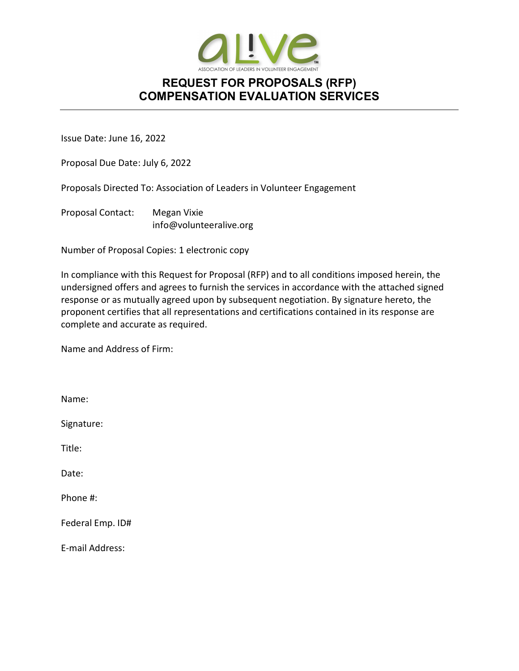

Issue Date: June 16, 2022

Proposal Due Date: July 6, 2022

Proposals Directed To: Association of Leaders in Volunteer Engagement

Proposal Contact: Megan Vixie info@volunteeralive.org

Number of Proposal Copies: 1 electronic copy

In compliance with this Request for Proposal (RFP) and to all conditions imposed herein, the undersigned offers and agrees to furnish the services in accordance with the attached signed response or as mutually agreed upon by subsequent negotiation. By signature hereto, the proponent certifies that all representations and certifications contained in its response are complete and accurate as required.

Name and Address of Firm:

Name: Signature: Title: Date: Phone #: Federal Emp. ID# E-mail Address: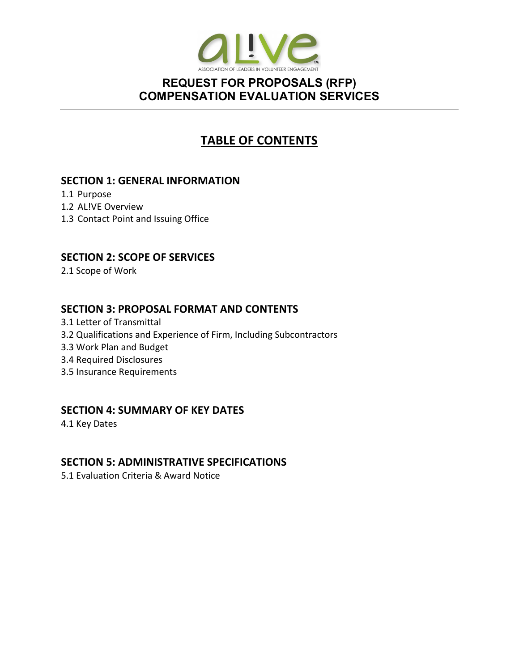

# TABLE OF CONTENTS

#### SECTION 1: GENERAL INFORMATION

- 1.1 Purpose
- 1.2 AL!VE Overview
- 1.3 Contact Point and Issuing Office

### SECTION 2: SCOPE OF SERVICES

2.1 Scope of Work

### SECTION 3: PROPOSAL FORMAT AND CONTENTS

- 3.1 Letter of Transmittal
- 3.2 Qualifications and Experience of Firm, Including Subcontractors
- 3.3 Work Plan and Budget
- 3.4 Required Disclosures
- 3.5 Insurance Requirements

#### SECTION 4: SUMMARY OF KEY DATES

4.1 Key Dates

### SECTION 5: ADMINISTRATIVE SPECIFICATIONS

5.1 Evaluation Criteria & Award Notice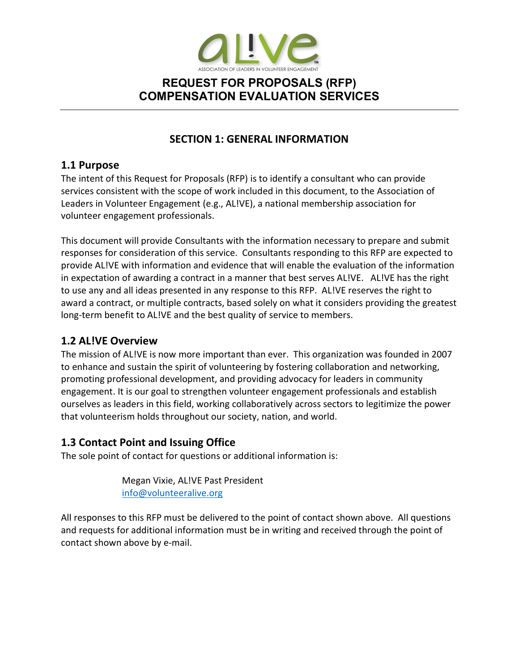

## SECTION 1: GENERAL INFORMATION

#### 1.1 Purpose

The intent of this Request for Proposals (RFP) is to identify a consultant who can provide services consistent with the scope of work included in this document, to the Association of Leaders in Volunteer Engagement (e.g., AL!VE), a national membership association for volunteer engagement professionals.

This document will provide Consultants with the information necessary to prepare and submit responses for consideration of this service. Consultants responding to this RFP are expected to provide AL!VE with information and evidence that will enable the evaluation of the information in expectation of awarding a contract in a manner that best serves AL!VE. AL!VE has the right to use any and all ideas presented in any response to this RFP. AL!VE reserves the right to award a contract, or multiple contracts, based solely on what it considers providing the greatest long-term benefit to AL!VE and the best quality of service to members.

### 1.2 AL!VE Overview

The mission of AL!VE is now more important than ever. This organization was founded in 2007 to enhance and sustain the spirit of volunteering by fostering collaboration and networking, promoting professional development, and providing advocacy for leaders in community engagement. It is our goal to strengthen volunteer engagement professionals and establish ourselves as leaders in this field, working collaboratively across sectors to legitimize the power that volunteerism holds throughout our society, nation, and world.

### 1.3 Contact Point and Issuing Office

The sole point of contact for questions or additional information is:

 Megan Vixie, AL!VE Past President info@volunteeralive.org

All responses to this RFP must be delivered to the point of contact shown above. All questions and requests for additional information must be in writing and received through the point of contact shown above by e-mail.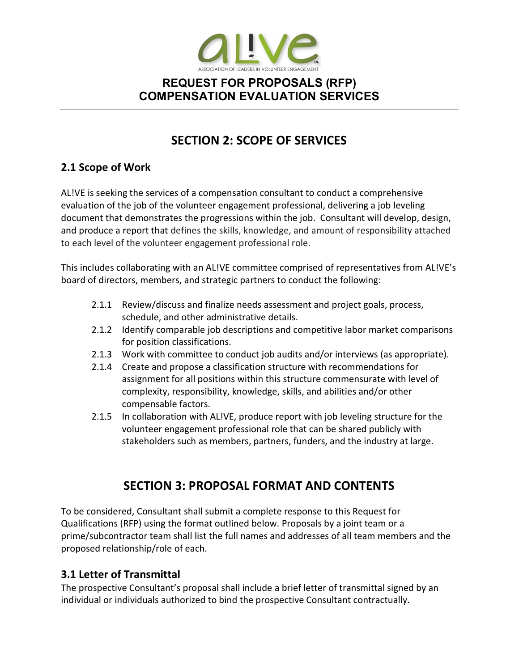

# SECTION 2: SCOPE OF SERVICES

## 2.1 Scope of Work

AL!VE is seeking the services of a compensation consultant to conduct a comprehensive evaluation of the job of the volunteer engagement professional, delivering a job leveling document that demonstrates the progressions within the job. Consultant will develop, design, and produce a report that defines the skills, knowledge, and amount of responsibility attached to each level of the volunteer engagement professional role.

This includes collaborating with an AL!VE committee comprised of representatives from AL!VE's board of directors, members, and strategic partners to conduct the following:

- 2.1.1 Review/discuss and finalize needs assessment and project goals, process, schedule, and other administrative details.
- 2.1.2 Identify comparable job descriptions and competitive labor market comparisons for position classifications.
- 2.1.3 Work with committee to conduct job audits and/or interviews (as appropriate).
- 2.1.4 Create and propose a classification structure with recommendations for assignment for all positions within this structure commensurate with level of complexity, responsibility, knowledge, skills, and abilities and/or other compensable factors.
- 2.1.5 In collaboration with AL!VE, produce report with job leveling structure for the volunteer engagement professional role that can be shared publicly with stakeholders such as members, partners, funders, and the industry at large.

# SECTION 3: PROPOSAL FORMAT AND CONTENTS

To be considered, Consultant shall submit a complete response to this Request for Qualifications (RFP) using the format outlined below. Proposals by a joint team or a prime/subcontractor team shall list the full names and addresses of all team members and the proposed relationship/role of each.

### 3.1 Letter of Transmittal

The prospective Consultant's proposal shall include a brief letter of transmittal signed by an individual or individuals authorized to bind the prospective Consultant contractually.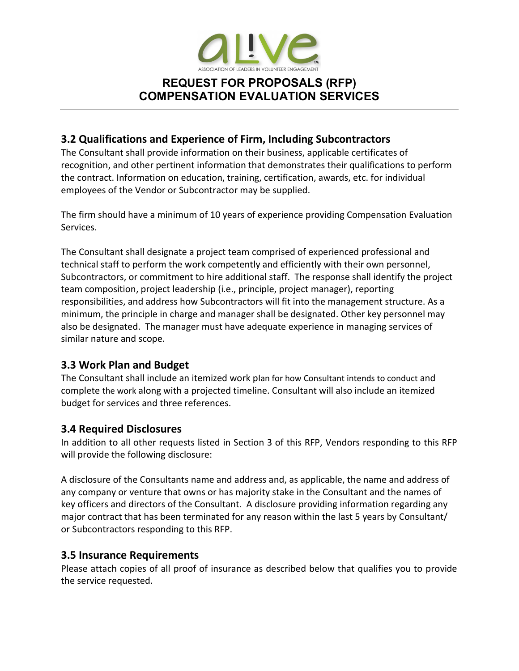

### 3.2 Qualifications and Experience of Firm, Including Subcontractors

The Consultant shall provide information on their business, applicable certificates of recognition, and other pertinent information that demonstrates their qualifications to perform the contract. Information on education, training, certification, awards, etc. for individual employees of the Vendor or Subcontractor may be supplied.

The firm should have a minimum of 10 years of experience providing Compensation Evaluation Services.

The Consultant shall designate a project team comprised of experienced professional and technical staff to perform the work competently and efficiently with their own personnel, Subcontractors, or commitment to hire additional staff. The response shall identify the project team composition, project leadership (i.e., principle, project manager), reporting responsibilities, and address how Subcontractors will fit into the management structure. As a minimum, the principle in charge and manager shall be designated. Other key personnel may also be designated. The manager must have adequate experience in managing services of similar nature and scope.

#### 3.3 Work Plan and Budget

The Consultant shall include an itemized work plan for how Consultant intends to conduct and complete the work along with a projected timeline. Consultant will also include an itemized budget for services and three references.

### 3.4 Required Disclosures

In addition to all other requests listed in Section 3 of this RFP, Vendors responding to this RFP will provide the following disclosure:

A disclosure of the Consultants name and address and, as applicable, the name and address of any company or venture that owns or has majority stake in the Consultant and the names of key officers and directors of the Consultant. A disclosure providing information regarding any major contract that has been terminated for any reason within the last 5 years by Consultant/ or Subcontractors responding to this RFP.

### 3.5 Insurance Requirements

Please attach copies of all proof of insurance as described below that qualifies you to provide the service requested.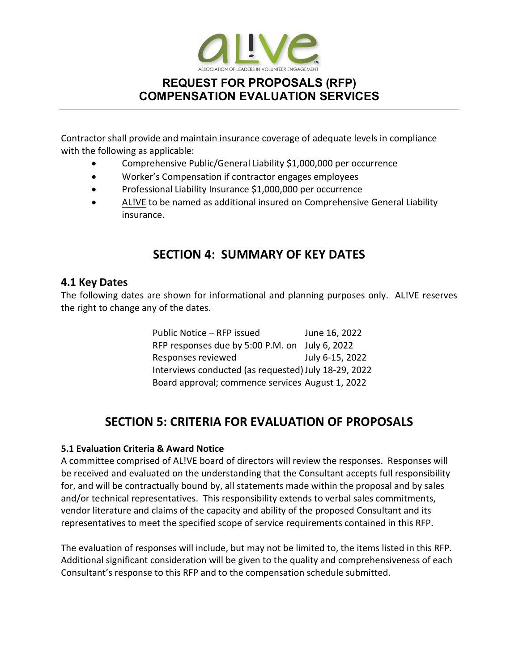

Contractor shall provide and maintain insurance coverage of adequate levels in compliance with the following as applicable:

- Comprehensive Public/General Liability \$1,000,000 per occurrence
- Worker's Compensation if contractor engages employees
- Professional Liability Insurance \$1,000,000 per occurrence
- AL!VE to be named as additional insured on Comprehensive General Liability insurance.

# SECTION 4: SUMMARY OF KEY DATES

#### 4.1 Key Dates

The following dates are shown for informational and planning purposes only. AL!VE reserves the right to change any of the dates.

| Public Notice - RFP issued                           | June 16, 2022   |
|------------------------------------------------------|-----------------|
| RFP responses due by 5:00 P.M. on July 6, 2022       |                 |
| Responses reviewed                                   | July 6-15, 2022 |
| Interviews conducted (as requested) July 18-29, 2022 |                 |
| Board approval; commence services August 1, 2022     |                 |

# SECTION 5: CRITERIA FOR EVALUATION OF PROPOSALS

#### 5.1 Evaluation Criteria & Award Notice

A committee comprised of AL!VE board of directors will review the responses. Responses will be received and evaluated on the understanding that the Consultant accepts full responsibility for, and will be contractually bound by, all statements made within the proposal and by sales and/or technical representatives. This responsibility extends to verbal sales commitments, vendor literature and claims of the capacity and ability of the proposed Consultant and its representatives to meet the specified scope of service requirements contained in this RFP.

The evaluation of responses will include, but may not be limited to, the items listed in this RFP. Additional significant consideration will be given to the quality and comprehensiveness of each Consultant's response to this RFP and to the compensation schedule submitted.